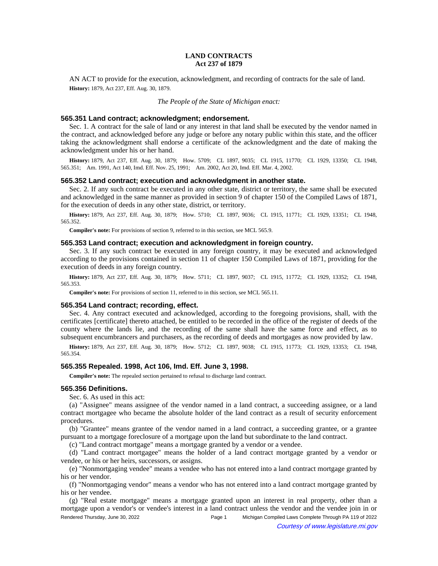# **LAND CONTRACTS Act 237 of 1879**

AN ACT to provide for the execution, acknowledgment, and recording of contracts for the sale of land. **History:** 1879, Act 237, Eff. Aug. 30, 1879.

*The People of the State of Michigan enact:*

### **565.351 Land contract; acknowledgment; endorsement.**

Sec. 1. A contract for the sale of land or any interest in that land shall be executed by the vendor named in the contract, and acknowledged before any judge or before any notary public within this state, and the officer taking the acknowledgment shall endorse a certificate of the acknowledgment and the date of making the acknowledgment under his or her hand.

History: 1879, Act 237, Eff. Aug. 30, 1879;—How. 5709;—CL 1897, 9035;—CL 1915, 11770;—CL 1929, 13350;—CL 1948, 565.351; Am. 1991, Act 140, Imd. Eff. Nov. 25, 1991; Am. 2002, Act 20, Imd. Eff. Mar. 4, 2002.

### **565.352 Land contract; execution and acknowledgment in another state.**

Sec. 2. If any such contract be executed in any other state, district or territory, the same shall be executed and acknowledged in the same manner as provided in section 9 of chapter 150 of the Compiled Laws of 1871, for the execution of deeds in any other state, district, or territory.

History: 1879, Act 237, Eff. Aug. 30, 1879;—How. 5710;—CL 1897, 9036;—CL 1915, 11771;—CL 1929, 13351;—CL 1948, 565.352.

**Compiler's note:** For provisions of section 9, referred to in this section, see MCL 565.9.

### **565.353 Land contract; execution and acknowledgment in foreign country.**

Sec. 3. If any such contract be executed in any foreign country, it may be executed and acknowledged according to the provisions contained in section 11 of chapter 150 Compiled Laws of 1871, providing for the execution of deeds in any foreign country.

History: 1879, Act 237, Eff. Aug. 30, 1879;—How. 5711;—CL 1897, 9037;—CL 1915, 11772;—CL 1929, 13352;—CL 1948, 565.353.

**Compiler's note:** For provisions of section 11, referred to in this section, see MCL 565.11.

#### **565.354 Land contract; recording, effect.**

Sec. 4. Any contract executed and acknowledged, according to the foregoing provisions, shall, with the certificates [certificate] thereto attached, be entitled to be recorded in the office of the register of deeds of the county where the lands lie, and the recording of the same shall have the same force and effect, as to subsequent encumbrancers and purchasers, as the recording of deeds and mortgages as now provided by law.

History: 1879, Act 237, Eff. Aug. 30, 1879;—How. 5712;—CL 1897, 9038;—CL 1915, 11773;—CL 1929, 13353;—CL 1948, 565.354.

## **565.355 Repealed. 1998, Act 106, Imd. Eff. June 3, 1998.**

**Compiler's note:** The repealed section pertained to refusal to discharge land contract.

# **565.356 Definitions.**

Sec. 6. As used in this act:

(a) "Assignee" means assignee of the vendor named in a land contract, a succeeding assignee, or a land contract mortgagee who became the absolute holder of the land contract as a result of security enforcement procedures.

(b) "Grantee" means grantee of the vendor named in a land contract, a succeeding grantee, or a grantee pursuant to a mortgage foreclosure of a mortgage upon the land but subordinate to the land contract.

(c) "Land contract mortgage" means a mortgage granted by a vendor or a vendee.

(d) "Land contract mortgagee" means the holder of a land contract mortgage granted by a vendor or vendee, or his or her heirs, successors, or assigns.

(e) "Nonmortgaging vendee" means a vendee who has not entered into a land contract mortgage granted by his or her vendor.

(f) "Nonmortgaging vendor" means a vendor who has not entered into a land contract mortgage granted by his or her vendee.

(g) "Real estate mortgage" means a mortgage granted upon an interest in real property, other than a mortgage upon a vendor's or vendee's interest in a land contract unless the vendor and the vendee join in or Rendered Thursday, June 30, 2022 Page 1 Michigan Compiled Laws Complete Through PA 119 of 2022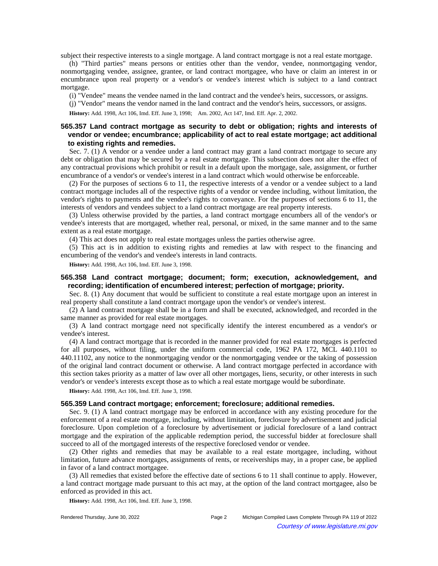subject their respective interests to a single mortgage. A land contract mortgage is not a real estate mortgage.

(h) "Third parties" means persons or entities other than the vendor, vendee, nonmortgaging vendor, nonmortgaging vendee, assignee, grantee, or land contract mortgagee, who have or claim an interest in or encumbrance upon real property or a vendor's or vendee's interest which is subject to a land contract mortgage.

(i) "Vendee" means the vendee named in the land contract and the vendee's heirs, successors, or assigns.

(j) "Vendor" means the vendor named in the land contract and the vendor's heirs, successors, or assigns.

History: Add. 1998, Act 106, Imd. Eff. June 3, 1998;—Am. 2002, Act 147, Imd. Eff. Apr. 2, 2002.

# **565.357 Land contract mortgage as security to debt or obligation; rights and interests of vendor or vendee; encumbrance; applicability of act to real estate mortgage; act additional to existing rights and remedies.**

Sec. 7. (1) A vendor or a vendee under a land contract may grant a land contract mortgage to secure any debt or obligation that may be secured by a real estate mortgage. This subsection does not alter the effect of any contractual provisions which prohibit or result in a default upon the mortgage, sale, assignment, or further encumbrance of a vendor's or vendee's interest in a land contract which would otherwise be enforceable.

(2) For the purposes of sections 6 to 11, the respective interests of a vendor or a vendee subject to a land contract mortgage includes all of the respective rights of a vendor or vendee including, without limitation, the vendor's rights to payments and the vendee's rights to conveyance. For the purposes of sections 6 to 11, the interests of vendors and vendees subject to a land contract mortgage are real property interests.

(3) Unless otherwise provided by the parties, a land contract mortgage encumbers all of the vendor's or vendee's interests that are mortgaged, whether real, personal, or mixed, in the same manner and to the same extent as a real estate mortgage.

(4) This act does not apply to real estate mortgages unless the parties otherwise agree.

(5) This act is in addition to existing rights and remedies at law with respect to the financing and encumbering of the vendor's and vendee's interests in land contracts.

**History:** Add. 1998, Act 106, Imd. Eff. June 3, 1998.

## **565.358 Land contract mortgage; document; form; execution, acknowledgement, and recording; identification of encumbered interest; perfection of mortgage; priority.**

Sec. 8. (1) Any document that would be sufficient to constitute a real estate mortgage upon an interest in real property shall constitute a land contract mortgage upon the vendor's or vendee's interest.

(2) A land contract mortgage shall be in a form and shall be executed, acknowledged, and recorded in the same manner as provided for real estate mortgages.

(3) A land contract mortgage need not specifically identify the interest encumbered as a vendor's or vendee's interest.

(4) A land contract mortgage that is recorded in the manner provided for real estate mortgages is perfected for all purposes, without filing, under the uniform commercial code, 1962 PA 172, MCL 440.1101 to 440.11102, any notice to the nonmortgaging vendor or the nonmortgaging vendee or the taking of possession of the original land contract document or otherwise. A land contract mortgage perfected in accordance with this section takes priority as a matter of law over all other mortgages, liens, security, or other interests in such vendor's or vendee's interests except those as to which a real estate mortgage would be subordinate.

**History:** Add. 1998, Act 106, Imd. Eff. June 3, 1998.

### **565.359 Land contract mortgage; enforcement; foreclosure; additional remedies.**

Sec. 9. (1) A land contract mortgage may be enforced in accordance with any existing procedure for the enforcement of a real estate mortgage, including, without limitation, foreclosure by advertisement and judicial foreclosure. Upon completion of a foreclosure by advertisement or judicial foreclosure of a land contract mortgage and the expiration of the applicable redemption period, the successful bidder at foreclosure shall succeed to all of the mortgaged interests of the respective foreclosed vendor or vendee.

(2) Other rights and remedies that may be available to a real estate mortgagee, including, without limitation, future advance mortgages, assignments of rents, or receiverships may, in a proper case, be applied in favor of a land contract mortgagee.

(3) All remedies that existed before the effective date of sections 6 to 11 shall continue to apply. However, a land contract mortgage made pursuant to this act may, at the option of the land contract mortgagee, also be enforced as provided in this act.

**History:** Add. 1998, Act 106, Imd. Eff. June 3, 1998.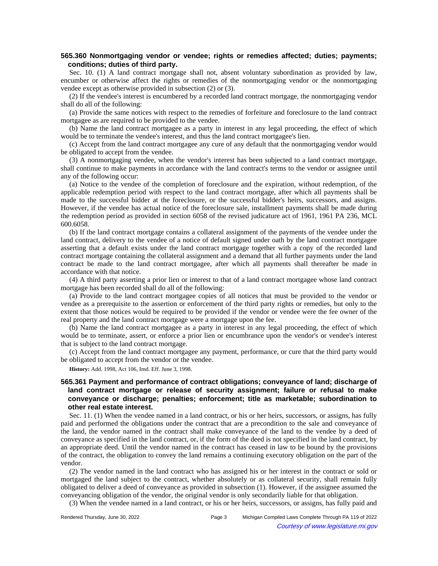# **565.360 Nonmortgaging vendor or vendee; rights or remedies affected; duties; payments; conditions; duties of third party.**

Sec. 10. (1) A land contract mortgage shall not, absent voluntary subordination as provided by law, encumber or otherwise affect the rights or remedies of the nonmortgaging vendor or the nonmortgaging vendee except as otherwise provided in subsection (2) or (3).

(2) If the vendee's interest is encumbered by a recorded land contract mortgage, the nonmortgaging vendor shall do all of the following:

(a) Provide the same notices with respect to the remedies of forfeiture and foreclosure to the land contract mortgagee as are required to be provided to the vendee.

(b) Name the land contract mortgagee as a party in interest in any legal proceeding, the effect of which would be to terminate the vendee's interest, and thus the land contract mortgagee's lien.

(c) Accept from the land contract mortgagee any cure of any default that the nonmortgaging vendor would be obligated to accept from the vendee.

(3) A nonmortgaging vendee, when the vendor's interest has been subjected to a land contract mortgage, shall continue to make payments in accordance with the land contract's terms to the vendor or assignee until any of the following occur:

(a) Notice to the vendee of the completion of foreclosure and the expiration, without redemption, of the applicable redemption period with respect to the land contract mortgage, after which all payments shall be made to the successful bidder at the foreclosure, or the successful bidder's heirs, successors, and assigns. However, if the vendee has actual notice of the foreclosure sale, installment payments shall be made during the redemption period as provided in section 6058 of the revised judicature act of 1961, 1961 PA 236, MCL 600.6058.

(b) If the land contract mortgage contains a collateral assignment of the payments of the vendee under the land contract, delivery to the vendee of a notice of default signed under oath by the land contract mortgagee asserting that a default exists under the land contract mortgage together with a copy of the recorded land contract mortgage containing the collateral assignment and a demand that all further payments under the land contract be made to the land contract mortgagee, after which all payments shall thereafter be made in accordance with that notice.

(4) A third party asserting a prior lien or interest to that of a land contract mortgagee whose land contract mortgage has been recorded shall do all of the following:

(a) Provide to the land contract mortgagee copies of all notices that must be provided to the vendor or vendee as a prerequisite to the assertion or enforcement of the third party rights or remedies, but only to the extent that those notices would be required to be provided if the vendor or vendee were the fee owner of the real property and the land contract mortgage were a mortgage upon the fee.

(b) Name the land contract mortgagee as a party in interest in any legal proceeding, the effect of which would be to terminate, assert, or enforce a prior lien or encumbrance upon the vendor's or vendee's interest that is subject to the land contract mortgage.

(c) Accept from the land contract mortgagee any payment, performance, or cure that the third party would be obligated to accept from the vendor or the vendee.

**History:** Add. 1998, Act 106, Imd. Eff. June 3, 1998.

# **565.361 Payment and performance of contract obligations; conveyance of land; discharge of land contract mortgage or release of security assignment; failure or refusal to make conveyance or discharge; penalties; enforcement; title as marketable; subordination to other real estate interest.**

Sec. 11. (1) When the vendee named in a land contract, or his or her heirs, successors, or assigns, has fully paid and performed the obligations under the contract that are a precondition to the sale and conveyance of the land, the vendor named in the contract shall make conveyance of the land to the vendee by a deed of conveyance as specified in the land contract, or, if the form of the deed is not specified in the land contract, by an appropriate deed. Until the vendor named in the contract has ceased in law to be bound by the provisions of the contract, the obligation to convey the land remains a continuing executory obligation on the part of the vendor.

(2) The vendor named in the land contract who has assigned his or her interest in the contract or sold or mortgaged the land subject to the contract, whether absolutely or as collateral security, shall remain fully obligated to deliver a deed of conveyance as provided in subsection (1). However, if the assignee assumed the conveyancing obligation of the vendor, the original vendor is only secondarily liable for that obligation.

(3) When the vendee named in a land contract, or his or her heirs, successors, or assigns, has fully paid and